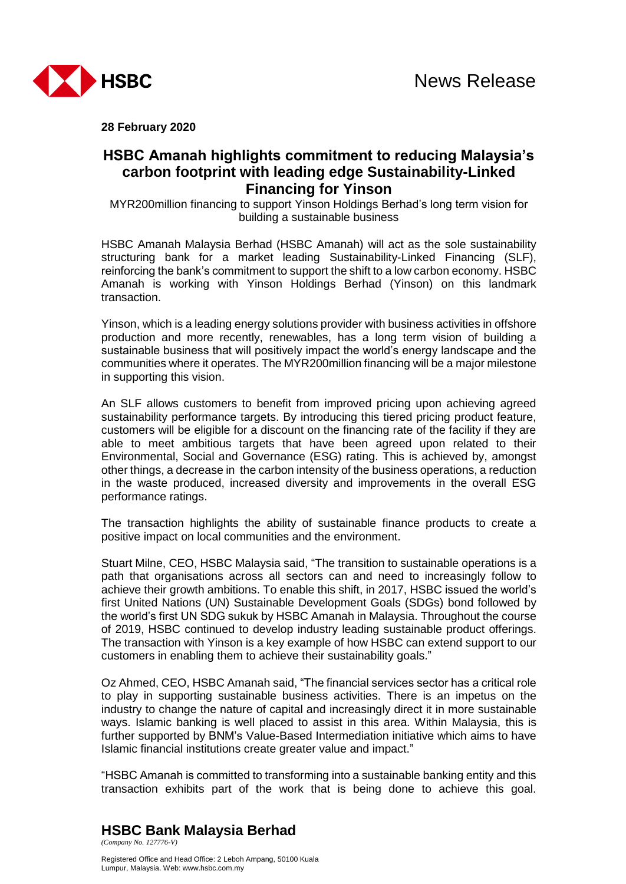



**28 February 2020**

# **HSBC Amanah highlights commitment to reducing Malaysia's carbon footprint with leading edge Sustainability-Linked Financing for Yinson**

MYR200million financing to support Yinson Holdings Berhad's long term vision for building a sustainable business

HSBC Amanah Malaysia Berhad (HSBC Amanah) will act as the sole sustainability structuring bank for a market leading Sustainability-Linked Financing (SLF), reinforcing the bank's commitment to support the shift to a low carbon economy. HSBC Amanah is working with Yinson Holdings Berhad (Yinson) on this landmark transaction.

Yinson, which is a leading energy solutions provider with business activities in offshore production and more recently, renewables, has a long term vision of building a sustainable business that will positively impact the world's energy landscape and the communities where it operates. The MYR200million financing will be a major milestone in supporting this vision.

An SLF allows customers to benefit from improved pricing upon achieving agreed sustainability performance targets. By introducing this tiered pricing product feature, customers will be eligible for a discount on the financing rate of the facility if they are able to meet ambitious targets that have been agreed upon related to their Environmental, Social and Governance (ESG) rating. This is achieved by, amongst other things, a decrease in the carbon intensity of the business operations, a reduction in the waste produced, increased diversity and improvements in the overall ESG performance ratings.

The transaction highlights the ability of sustainable finance products to create a positive impact on local communities and the environment.

Stuart Milne, CEO, HSBC Malaysia said, "The transition to sustainable operations is a path that organisations across all sectors can and need to increasingly follow to achieve their growth ambitions. To enable this shift, in 2017, HSBC issued the world's first United Nations (UN) Sustainable Development Goals (SDGs) bond followed by the world's first UN SDG sukuk by HSBC Amanah in Malaysia. Throughout the course of 2019, HSBC continued to develop industry leading sustainable product offerings. The transaction with Yinson is a key example of how HSBC can extend support to our customers in enabling them to achieve their sustainability goals."

Oz Ahmed, CEO, HSBC Amanah said, "The financial services sector has a critical role to play in supporting sustainable business activities. There is an impetus on the industry to change the nature of capital and increasingly direct it in more sustainable ways. Islamic banking is well placed to assist in this area. Within Malaysia, this is further supported by BNM's Value-Based Intermediation initiative which aims to have Islamic financial institutions create greater value and impact."

"HSBC Amanah is committed to transforming into a sustainable banking entity and this transaction exhibits part of the work that is being done to achieve this goal.

**HSBC Bank Malaysia Berhad**  *(Company No. 127776-V)* 

Registered Office and Head Office: 2 Leboh Ampang, 50100 Kuala Lumpur, Malaysia. Web: www.hsbc.com.my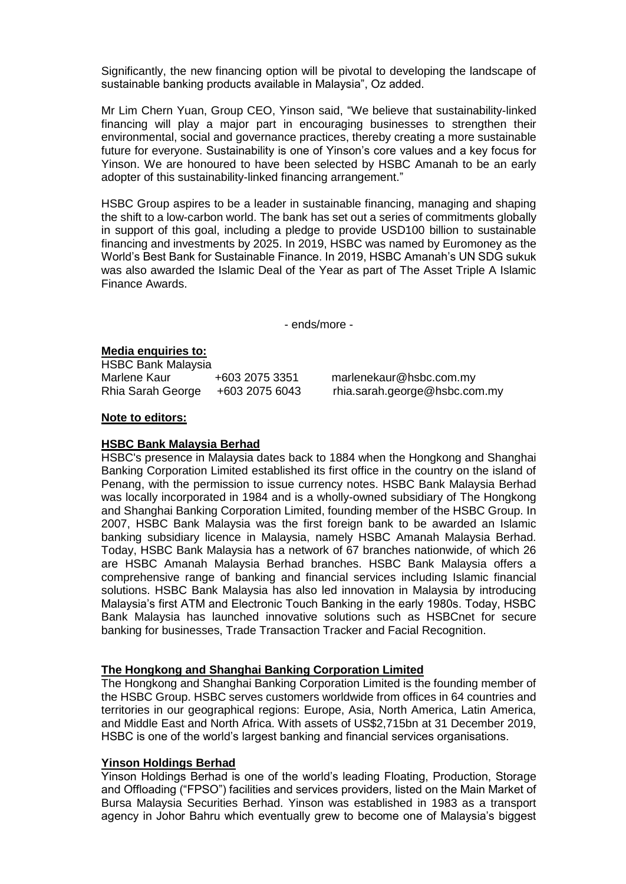Significantly, the new financing option will be pivotal to developing the landscape of sustainable banking products available in Malaysia", Oz added.

Mr Lim Chern Yuan, Group CEO, Yinson said, "We believe that sustainability-linked financing will play a major part in encouraging businesses to strengthen their environmental, social and governance practices, thereby creating a more sustainable future for everyone. Sustainability is one of Yinson's core values and a key focus for Yinson. We are honoured to have been selected by HSBC Amanah to be an early adopter of this sustainability-linked financing arrangement."

HSBC Group aspires to be a leader in sustainable financing, managing and shaping the shift to a low-carbon world. The bank has set out a series of commitments globally in support of this goal, including a pledge to provide USD100 billion to sustainable financing and investments by 2025. In 2019, HSBC was named by Euromoney as the World's Best Bank for Sustainable Finance. In 2019, HSBC Amanah's UN SDG sukuk was also awarded the Islamic Deal of the Year as part of The Asset Triple A Islamic Finance Awards.

- ends/more -

## **Media enquiries to:**

HSBC Bank Malaysia Marlene Kaur +603 2075 3351 marlenekaur@hsbc.com.my Rhia Sarah George +603 2075 6043 rhia.sarah.george@hsbc.com.my

#### **Note to editors:**

#### **HSBC Bank Malaysia Berhad**

HSBC's presence in Malaysia dates back to 1884 when the Hongkong and Shanghai Banking Corporation Limited established its first office in the country on the island of Penang, with the permission to issue currency notes. HSBC Bank Malaysia Berhad was locally incorporated in 1984 and is a wholly-owned subsidiary of The Hongkong and Shanghai Banking Corporation Limited, founding member of the HSBC Group. In 2007, HSBC Bank Malaysia was the first foreign bank to be awarded an Islamic banking subsidiary licence in Malaysia, namely HSBC Amanah Malaysia Berhad. Today, HSBC Bank Malaysia has a network of 67 branches nationwide, of which 26 are HSBC Amanah Malaysia Berhad branches. HSBC Bank Malaysia offers a comprehensive range of banking and financial services including Islamic financial solutions. HSBC Bank Malaysia has also led innovation in Malaysia by introducing Malaysia's first ATM and Electronic Touch Banking in the early 1980s. Today, HSBC Bank Malaysia has launched innovative solutions such as HSBCnet for secure banking for businesses, Trade Transaction Tracker and Facial Recognition.

## **The Hongkong and Shanghai Banking Corporation Limited**

The Hongkong and Shanghai Banking Corporation Limited is the founding member of the HSBC Group. HSBC serves customers worldwide from offices in 64 countries and territories in our geographical regions: Europe, Asia, North America, Latin America, and Middle East and North Africa. With assets of US\$2,715bn at 31 December 2019, HSBC is one of the world's largest banking and financial services organisations.

## **Yinson Holdings Berhad**

Yinson Holdings Berhad is one of the world's leading Floating, Production, Storage and Offloading ("FPSO") facilities and services providers, listed on the Main Market of Bursa Malaysia Securities Berhad. Yinson was established in 1983 as a transport agency in Johor Bahru which eventually grew to become one of Malaysia's biggest